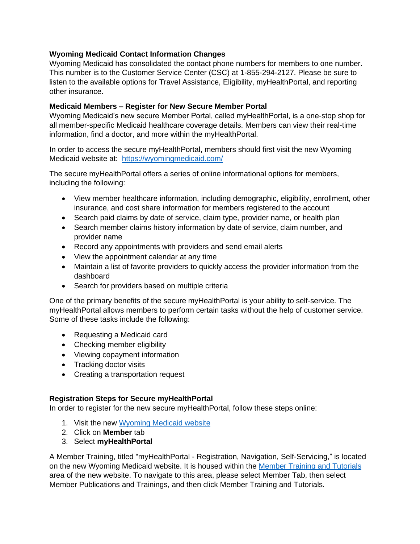## **Wyoming Medicaid Contact Information Changes**

Wyoming Medicaid has consolidated the contact phone numbers for members to one number. This number is to the Customer Service Center (CSC) at 1-855-294-2127. Please be sure to listen to the available options for Travel Assistance, Eligibility, myHealthPortal, and reporting other insurance.

## **Medicaid Members – Register for New Secure Member Portal**

Wyoming Medicaid's new secure Member Portal, called myHealthPortal, is a one-stop shop for all member-specific Medicaid healthcare coverage details. Members can view their real-time information, find a doctor, and more within the myHealthPortal.

In order to access the secure myHealthPortal, members should first visit the new Wyoming Medicaid website at: <https://wyomingmedicaid.com/>

The secure myHealthPortal offers a series of online informational options for members, including the following:

- View member healthcare information, including demographic, eligibility, enrollment, other insurance, and cost share information for members registered to the account
- Search paid claims by date of service, claim type, provider name, or health plan
- Search member claims history information by date of service, claim number, and provider name
- Record any appointments with providers and send email alerts
- View the appointment calendar at any time
- Maintain a list of favorite providers to quickly access the provider information from the dashboard
- Search for providers based on multiple criteria

One of the primary benefits of the secure myHealthPortal is your ability to self-service. The myHealthPortal allows members to perform certain tasks without the help of customer service. Some of these tasks include the following:

- Requesting a Medicaid card
- Checking member eligibility
- Viewing copayment information
- Tracking doctor visits
- Creating a transportation request

## **Registration Steps for Secure myHealthPortal**

In order to register for the new secure myHealthPortal, follow these steps online:

- 1. Visit the new Wyoming Medicaid website
- 2. Click on **Member** tab
- 3. Select **myHealthPortal**

A Member Training, titled "myHealthPortal - Registration, Navigation, Self-Servicing," is located on the new Wyoming Medicaid website. It is housed within the [Member Training and Tutorials](https://wyomingmedicaid.com/portal/Member-Training-and-Tutorials) area of the new website. To navigate to this area, please select Member Tab, then select Member Publications and Trainings, and then click Member Training and Tutorials.